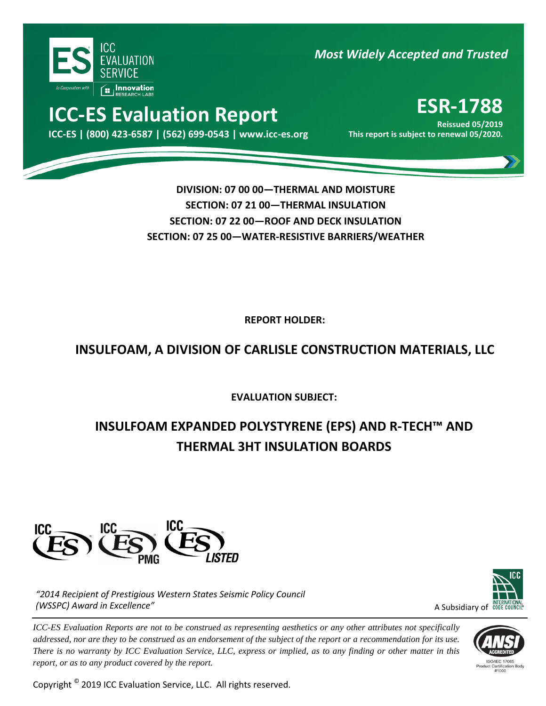

*Most Widely Accepted and Trusted* 

# **ICC-ES Evaluation Report ESR-1788**

000 **ICC-ES | (800) 423-6587 | (562) 699-0543 | www.icc-es.org This report is subject to renewal 05/2020.**

**Reissued 05/2019**

**DIVISION: 07 00 00—THERMAL AND MOISTURE SECTION: 07 21 00—THERMAL INSULATION SECTION: 07 22 00—ROOF AND DECK INSULATION SECTION: 07 25 00—WATER-RESISTIVE BARRIERS/WEATHER**

**REPORT HOLDER:** 

## **INSULFOAM, A DIVISION OF CARLISLE CONSTRUCTION MATERIALS, LLC**

**EVALUATION SUBJECT:**

## **INSULFOAM EXPANDED POLYSTYRENE (EPS) AND R-TECH™ AND THERMAL 3HT INSULATION BOARDS**



*"2014 Recipient of Prestigious Western States Seismic Policy Council (WSSPC) Award in Excellence"*

*ICC-ES Evaluation Reports are not to be construed as representing aesthetics or any other attributes not specifically addressed, nor are they to be construed as an endorsement of the subject of the report or a recommendation for its use. There is no warranty by ICC Evaluation Service, LLC, express or implied, as to any finding or other matter in this report, or as to any product covered by the report.*

Copyright © 2019 ICC Evaluation Service, LLC. All rights reserved.



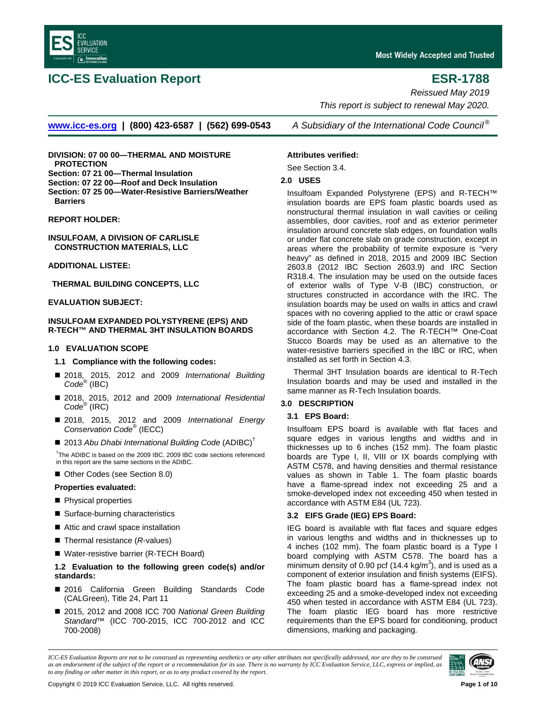

### **ICC-ES Evaluation Report ESR-1788**

*Reissued May 2019 This report is subject to renewal May 2020.*

**[www.icc-es.org](http://www.icc-es.org/) | (800) 423-6587 | (562) 699-0543** *A Subsidiary of the International Code Council ®*

**DIVISION: 07 00 00—THERMAL AND MOISTURE PROTECTION**

**Section: 07 21 00—Thermal Insulation**

**Section: 07 22 00—Roof and Deck Insulation**

**Section: 07 25 00—Water-Resistive Barriers/Weather Barriers**

**REPORT HOLDER:**

**INSULFOAM, A DIVISION OF CARLISLE CONSTRUCTION MATERIALS, LLC**

**ADDITIONAL LISTEE:**

**THERMAL BUILDING CONCEPTS, LLC**

#### **EVALUATION SUBJECT:**

#### **INSULFOAM EXPANDED POLYSTYRENE (EPS) AND R-TECH™ AND THERMAL 3HT INSULATION BOARDS**

#### **1.0 EVALUATION SCOPE**

- **1.1 Compliance with the following codes:**
- 2018, 2015, 2012 and 2009 *International Building Code*® (IBC)
- 2018, 2015, 2012 and 2009 *International Residential Code*® (IRC)
- 2018, 2015, 2012 and 2009 *International Energy Conservation Code*® (IECC)
- 2013 Abu Dhabi International Building Code (ADIBC)<sup>†</sup>

<sup>†</sup>The ADIBC is based on the 2009 IBC. 2009 IBC code sections referenced in this report are the same sections in the ADIBC.

■ Other Codes (see Section 8.0)

#### **Properties evaluated:**

- **Physical properties**
- Surface-burning characteristics
- Attic and crawl space installation
- Thermal resistance (*R*-values)
- Water-resistive barrier (R-TECH Board)

#### **1.2 Evaluation to the following green code(s) and/or standards:**

- 2016 California Green Building Standards Code (CALGreen), Title 24, Part 11
- 2015, 2012 and 2008 ICC 700 *National Green Building Standard*™ (ICC 700-2015, ICC 700-2012 and ICC 700-2008)

**Attributes verified:** See Section 3.4.

#### **2.0 USES**

Insulfoam Expanded Polystyrene (EPS) and R-TECH™ insulation boards are EPS foam plastic boards used as nonstructural thermal insulation in wall cavities or ceiling assemblies, door cavities, roof and as exterior perimeter insulation around concrete slab edges, on foundation walls or under flat concrete slab on grade construction, except in areas where the probability of termite exposure is "very heavy" as defined in 2018, 2015 and 2009 IBC Section 2603.8 (2012 IBC Section 2603.9) and IRC Section R318.4. The insulation may be used on the outside faces of exterior walls of Type V-B (IBC) construction, or structures constructed in accordance with the IRC. The insulation boards may be used on walls in attics and crawl spaces with no covering applied to the attic or crawl space side of the foam plastic, when these boards are installed in accordance with Section 4.2. The R-TECH™ One-Coat Stucco Boards may be used as an alternative to the water-resistive barriers specified in the IBC or IRC, when installed as set forth in Section 4.3.

Thermal 3HT Insulation boards are identical to R-Tech Insulation boards and may be used and installed in the same manner as R-Tech Insulation boards.

### **3.0 DESCRIPTION**

#### **3.1 EPS Board:**

Insulfoam EPS board is available with flat faces and square edges in various lengths and widths and in thicknesses up to 6 inches (152 mm). The foam plastic boards are Type I, II, VIII or IX boards complying with ASTM C578, and having densities and thermal resistance values as shown in Table 1. The foam plastic boards have a flame-spread index not exceeding 25 and a smoke-developed index not exceeding 450 when tested in accordance with ASTM E84 (UL 723).

#### **3.2 EIFS Grade (IEG) EPS Board:**

IEG board is available with flat faces and square edges in various lengths and widths and in thicknesses up to 4 inches (102 mm). The foam plastic board is a Type I board complying with ASTM C578. The board has a minimum density of 0.90 pcf (14.4 kg/m<sup>3</sup>), and is used as a component of exterior insulation and finish systems (EIFS). The foam plastic board has a flame-spread index not exceeding 25 and a smoke-developed index not exceeding 450 when tested in accordance with ASTM E84 (UL 723). The foam plastic IEG board has more restrictive requirements than the EPS board for conditioning, product dimensions, marking and packaging.

*ICC-ES Evaluation Reports are not to be construed as representing aesthetics or any other attributes not specifically addressed, nor are they to be construed as an endorsement of the subject of the report or a recommendation for its use. There is no warranty by ICC Evaluation Service, LLC, express or implied, as to any finding or other matter in this report, or as to any product covered by the report.*

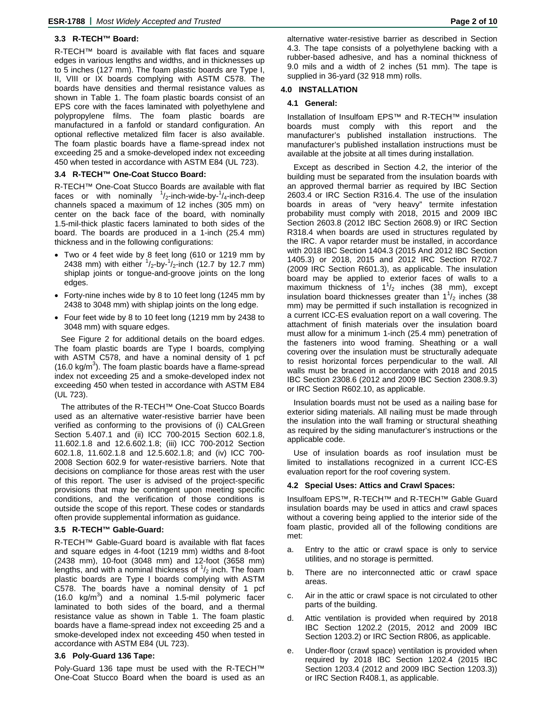### **3.3 R-TECH™ Board:**

R-TECH™ board is available with flat faces and square edges in various lengths and widths, and in thicknesses up to 5 inches (127 mm). The foam plastic boards are Type I, II, VIII or IX boards complying with ASTM C578. The boards have densities and thermal resistance values as shown in Table 1. The foam plastic boards consist of an EPS core with the faces laminated with polyethylene and polypropylene films. The foam plastic boards are manufactured in a fanfold or standard configuration. An optional reflective metalized film facer is also available. The foam plastic boards have a flame-spread index not exceeding 25 and a smoke-developed index not exceeding 450 when tested in accordance with ASTM E84 (UL 723).

#### **3.4 R-TECH™ One-Coat Stucco Board:**

R-TECH™ One-Coat Stucco Boards are available with flat faces or with nominally  $\frac{1}{2}$ -inch-wide-by- $\frac{1}{4}$ -inch-deep channels spaced a maximum of 12 inches (305 mm) on center on the back face of the board, with nominally 1.5-mil-thick plastic facers laminated to both sides of the board. The boards are produced in a 1-inch (25.4 mm) thickness and in the following configurations:

- Two or 4 feet wide by 8 feet long (610 or 1219 mm by 2438 mm) with either  $\frac{1}{2}$ -by- $\frac{1}{2}$ -inch (12.7 by 12.7 mm) shiplap joints or tongue-and-groove joints on the long edges.
- Forty-nine inches wide by 8 to 10 feet long (1245 mm by 2438 to 3048 mm) with shiplap joints on the long edge.
- Four feet wide by 8 to 10 feet long (1219 mm by 2438 to 3048 mm) with square edges.

See Figure 2 for additional details on the board edges. The foam plastic boards are Type I boards, complying with ASTM C578, and have a nominal density of 1 pcf (16.0 kg/m<sup>3</sup>). The foam plastic boards have a flame-spread index not exceeding 25 and a smoke-developed index not exceeding 450 when tested in accordance with ASTM E84 (UL 723).

The attributes of the R-TECH™ One-Coat Stucco Boards used as an alternative water-resistive barrier have been verified as conforming to the provisions of (i) CALGreen Section 5.407.1 and (ii) ICC 700-2015 Section 602.1.8, 11.602.1.8 and 12.6.602.1.8; (iii) ICC 700-2012 Section 602.1.8, 11.602.1.8 and 12.5.602.1.8; and (iv) ICC 700- 2008 Section 602.9 for water-resistive barriers. Note that decisions on compliance for those areas rest with the user of this report. The user is advised of the project-specific provisions that may be contingent upon meeting specific conditions, and the verification of those conditions is outside the scope of this report. These codes or standards often provide supplemental information as guidance.

### **3.5 R-TECH™ Gable-Guard:**

R-TECH™ Gable-Guard board is available with flat faces and square edges in 4-foot (1219 mm) widths and 8-foot (2438 mm), 10-foot (3048 mm) and 12-foot (3658 mm) lengths, and with a nominal thickness of  $\frac{1}{2}$  inch. The foam plastic boards are Type I boards complying with ASTM C578. The boards have a nominal density of 1 pcf (16.0  $kg/m<sup>3</sup>$ ) and a nominal 1.5-mil polymeric facer laminated to both sides of the board, and a thermal resistance value as shown in Table 1. The foam plastic boards have a flame-spread index not exceeding 25 and a smoke-developed index not exceeding 450 when tested in accordance with ASTM E84 (UL 723).

#### **3.6 Poly-Guard 136 Tape:**

Poly-Guard 136 tape must be used with the R-TECH™ One-Coat Stucco Board when the board is used as an

alternative water-resistive barrier as described in Section 4.3. The tape consists of a polyethylene backing with a rubber-based adhesive, and has a nominal thickness of 9.0 mils and a width of 2 inches (51 mm). The tape is supplied in 36-yard (32 918 mm) rolls.

### **4.0 INSTALLATION**

### **4.1 General:**

Installation of Insulfoam EPS™ and R-TECH™ insulation boards must comply with this report and the manufacturer's published installation instructions. The manufacturer's published installation instructions must be available at the jobsite at all times during installation.

Except as described in Section 4.2, the interior of the building must be separated from the insulation boards with an approved thermal barrier as required by IBC Section 2603.4 or IRC Section R316.4. The use of the insulation boards in areas of "very heavy" termite infestation probability must comply with 2018, 2015 and 2009 IBC Section 2603.8 (2012 IBC Section 2608.9) or IRC Section R318.4 when boards are used in structures regulated by the IRC. A vapor retarder must be installed, in accordance with 2018 IBC Section 1404.3 (2015 And 2012 IBC Section 1405.3) or 2018, 2015 and 2012 IRC Section R702.7 (2009 IRC Section R601.3), as applicable. The insulation board may be applied to exterior faces of walls to a maximum thickness of  $1\frac{1}{2}$  inches (38 mm), except insulation board thicknesses greater than  $1\frac{1}{2}$  inches (38 mm) may be permitted if such installation is recognized in a current ICC-ES evaluation report on a wall covering. The attachment of finish materials over the insulation board must allow for a minimum 1-inch (25.4 mm) penetration of the fasteners into wood framing. Sheathing or a wall covering over the insulation must be structurally adequate to resist horizontal forces perpendicular to the wall. All walls must be braced in accordance with 2018 and 2015 IBC Section 2308.6 (2012 and 2009 IBC Section 2308.9.3) or IRC Section R602.10, as applicable.

Insulation boards must not be used as a nailing base for exterior siding materials. All nailing must be made through the insulation into the wall framing or structural sheathing as required by the siding manufacturer's instructions or the applicable code.

Use of insulation boards as roof insulation must be limited to installations recognized in a current ICC-ES evaluation report for the roof covering system.

#### **4.2 Special Uses: Attics and Crawl Spaces:**

Insulfoam EPS™, R-TECH™ and R-TECH™ Gable Guard insulation boards may be used in attics and crawl spaces without a covering being applied to the interior side of the foam plastic, provided all of the following conditions are met:

- a. Entry to the attic or crawl space is only to service utilities, and no storage is permitted.
- b. There are no interconnected attic or crawl space areas.
- c. Air in the attic or crawl space is not circulated to other parts of the building.
- d. Attic ventilation is provided when required by 2018 IBC Section 1202.2 (2015, 2012 and 2009 IBC Section 1203.2) or IRC Section R806, as applicable.
- e. Under-floor (crawl space) ventilation is provided when required by 2018 IBC Section 1202.4 (2015 IBC Section 1203.4 (2012 and 2009 IBC Section 1203.3)) or IRC Section R408.1, as applicable.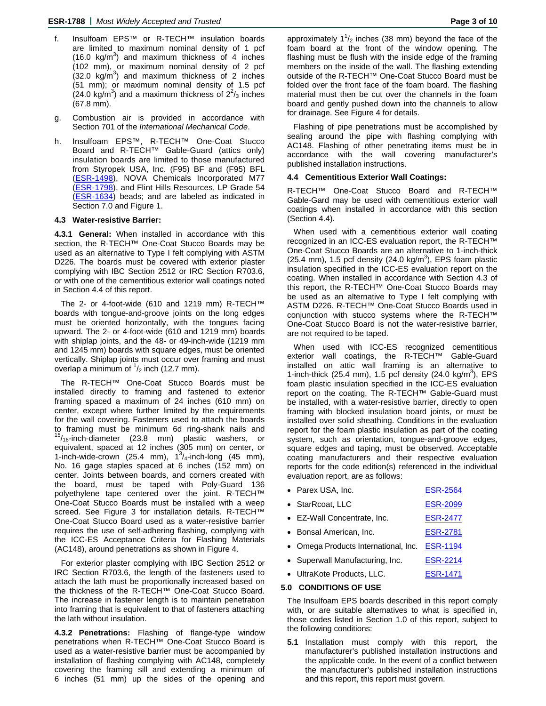- f. Insulfoam EPS™ or R-TECH™ insulation boards are limited to maximum nominal density of 1 pcf  $(16.0 \text{ kg/m}^3)$  and maximum thickness of 4 inches (102 mm), or maximum nominal density of 2 pcf  $(32.0 \text{ kg/m}^3)$  and maximum thickness of 2 inches (51 mm); or maximum nominal density of 1.5 pcf  $(24.0 \text{ kg/m}^3)$  and a maximum thickness of  $2^2$ /<sub>3</sub> inches (67.8 mm).
- g. Combustion air is provided in accordance with Section 701 of the *International Mechanical Code*.
- h. Insulfoam EPS™, R-TECH™ One-Coat Stucco Board and R-TECH™ Gable-Guard (attics only) insulation boards are limited to those manufactured from Styropek USA, Inc. (F95) BF and (F95) BFL [\(ESR-1498\)](http://www.icc-es.org/reports/pdf_files/ICC-ES/ESR-1498.pdf), NOVA Chemicals Incorporated M77 [\(ESR-1798\)](http://www.icc-es.org/reports/pdf_files/ICC-ES/ESR-1798.pdf), and Flint Hills Resources, LP Grade 54 (**ESR-1634**) beads; and are labeled as indicated in Section 7.0 and Figure 1.

#### **4.3 Water-resistive Barrier:**

**4.3.1 General:** When installed in accordance with this section, the R-TECH™ One-Coat Stucco Boards may be used as an alternative to Type I felt complying with ASTM D226. The boards must be covered with exterior plaster complying with IBC Section 2512 or IRC Section R703.6, or with one of the cementitious exterior wall coatings noted in Section 4.4 of this report.

The 2- or 4-foot-wide (610 and 1219 mm) R-TECH™ boards with tongue-and-groove joints on the long edges must be oriented horizontally, with the tongues facing upward. The 2- or 4-foot-wide (610 and 1219 mm) boards with shiplap joints, and the 48- or 49-inch-wide (1219 mm and 1245 mm) boards with square edges, must be oriented vertically. Shiplap joints must occur over framing and must overlap a minimum of  $\frac{1}{2}$  inch (12.7 mm).

The R-TECH™ One-Coat Stucco Boards must be installed directly to framing and fastened to exterior framing spaced a maximum of 24 inches (610 mm) on center, except where further limited by the requirements for the wall covering. Fasteners used to attach the boards to framing must be minimum 6d ring-shank nails and  $^{15}/_{16}$ -inch-diameter (23.8 mm) plastic washers, or equivalent, spaced at 12 inches (305 mm) on center, or 1-inch-wide-crown (25.4 mm),  $1^3/4$ -inch-long (45 mm), No. 16 gage staples spaced at 6 inches (152 mm) on center. Joints between boards, and corners created with the board, must be taped with Poly-Guard 136 polyethylene tape centered over the joint. R-TECH™ One-Coat Stucco Boards must be installed with a weep screed. See Figure 3 for installation details. R-TECH™ One-Coat Stucco Board used as a water-resistive barrier requires the use of self-adhering flashing, complying with the ICC-ES Acceptance Criteria for Flashing Materials (AC148), around penetrations as shown in Figure 4.

For exterior plaster complying with IBC Section 2512 or IRC Section R703.6, the length of the fasteners used to attach the lath must be proportionally increased based on the thickness of the R-TECH™ One-Coat Stucco Board. The increase in fastener length is to maintain penetration into framing that is equivalent to that of fasteners attaching the lath without insulation.

**4.3.2 Penetrations:** Flashing of flange-type window penetrations when R-TECH™ One-Coat Stucco Board is used as a water-resistive barrier must be accompanied by installation of flashing complying with AC148, completely covering the framing sill and extending a minimum of 6 inches (51 mm) up the sides of the opening and

approximately  $1^{\frac{1}{2}}$  inches (38 mm) beyond the face of the foam board at the front of the window opening. The flashing must be flush with the inside edge of the framing members on the inside of the wall. The flashing extending outside of the R-TECH™ One-Coat Stucco Board must be folded over the front face of the foam board. The flashing material must then be cut over the channels in the foam board and gently pushed down into the channels to allow for drainage. See Figure 4 for details.

Flashing of pipe penetrations must be accomplished by sealing around the pipe with flashing complying with AC148. Flashing of other penetrating items must be in accordance with the wall covering manufacturer's published installation instructions.

#### **4.4 Cementitious Exterior Wall Coatings:**

R-TECH™ One-Coat Stucco Board and R-TECH™ Gable-Gard may be used with cementitious exterior wall coatings when installed in accordance with this section (Section 4.4).

When used with a cementitious exterior wall coating recognized in an ICC-ES evaluation report, the R-TECH™ One-Coat Stucco Boards are an alternative to 1-inch-thick (25.4 mm), 1.5 pcf density (24.0 kg/m<sup>3</sup>), EPS foam plastic insulation specified in the ICC-ES evaluation report on the coating. When installed in accordance with Section 4.3 of this report, the R-TECH™ One-Coat Stucco Boards may be used as an alternative to Type I felt complying with ASTM D226. R-TECH™ One-Coat Stucco Boards used in conjunction with stucco systems where the R-TECH™ One-Coat Stucco Board is not the water-resistive barrier, are not required to be taped.

When used with ICC-ES recognized cementitious exterior wall coatings, the R-TECH™ Gable-Guard installed on attic wall framing is an alternative to 1-inch-thick (25.4 mm), 1.5 pcf density (24.0 kg/m<sup>3</sup>), EPS foam plastic insulation specified in the ICC-ES evaluation report on the coating. The R-TECH™ Gable-Guard must be installed, with a water-resistive barrier, directly to open framing with blocked insulation board joints, or must be installed over solid sheathing. Conditions in the evaluation report for the foam plastic insulation as part of the coating system, such as orientation, tongue-and-groove edges, square edges and taping, must be observed. Acceptable coating manufacturers and their respective evaluation reports for the code edition(s) referenced in the individual evaluation report, are as follows:

| • Parex USA, Inc. | <b>ESR-2564</b> |
|-------------------|-----------------|
|                   |                 |

| • StarRcoat, LLC            | <b>ESR-2099</b> |
|-----------------------------|-----------------|
| • EZ-Wall Concentrate, Inc. | <b>ESR-2477</b> |
| • Bonsal American, Inc.     | <b>ESR-2781</b> |
|                             |                 |

- Omega Products International, Inc. [ESR-1194](http://www.icc-es.org/reports/pdf_files/ICC-ES/ESR-1194.pdf)
- Superwall Manufacturing, Inc. [ESR-2214](http://www.icc-es.org/reports/pdf_files/ICC-ES/ESR-2214.pdf)
- UltraKote Products, LLC. [ESR-1471](http://www.icc-es.org/reports/pdf_files/ICC-ES/ESR-1471.pdf)

#### **5.0 CONDITIONS OF USE**

The Insulfoam EPS boards described in this report comply with, or are suitable alternatives to what is specified in, those codes listed in Section 1.0 of this report, subject to the following conditions:

**5.1** Installation must comply with this report, the manufacturer's published installation instructions and the applicable code. In the event of a conflict between the manufacturer's published installation instructions and this report, this report must govern.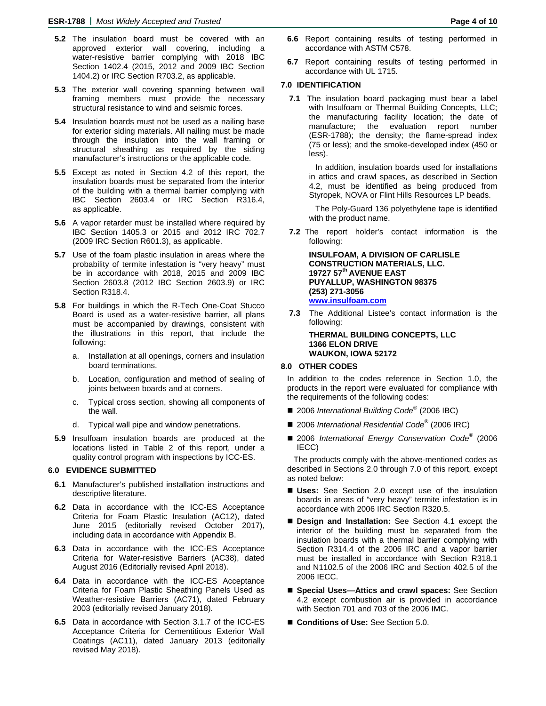- **5.2** The insulation board must be covered with an approved exterior wall covering, including a water-resistive barrier complying with 2018 IBC Section 1402.4 (2015, 2012 and 2009 IBC Section 1404.2) or IRC Section R703.2, as applicable.
- **5.3** The exterior wall covering spanning between wall framing members must provide the necessary structural resistance to wind and seismic forces.
- **5.4** Insulation boards must not be used as a nailing base for exterior siding materials. All nailing must be made through the insulation into the wall framing or structural sheathing as required by the siding manufacturer's instructions or the applicable code.
- **5.5** Except as noted in Section 4.2 of this report, the insulation boards must be separated from the interior of the building with a thermal barrier complying with IBC Section 2603.4 or IRC Section R316.4, as applicable.
- **5.6** A vapor retarder must be installed where required by IBC Section 1405.3 or 2015 and 2012 IRC 702.7 (2009 IRC Section R601.3), as applicable.
- **5.7** Use of the foam plastic insulation in areas where the probability of termite infestation is "very heavy" must be in accordance with 2018, 2015 and 2009 IBC Section 2603.8 (2012 IBC Section 2603.9) or IRC Section R318.4.
- **5.8** For buildings in which the R-Tech One-Coat Stucco Board is used as a water-resistive barrier, all plans must be accompanied by drawings, consistent with the illustrations in this report, that include the following:
	- a. Installation at all openings, corners and insulation board terminations.
	- b. Location, configuration and method of sealing of joints between boards and at corners.
	- c. Typical cross section, showing all components of the wall.
	- d. Typical wall pipe and window penetrations.
- **5.9** Insulfoam insulation boards are produced at the locations listed in Table 2 of this report, under a quality control program with inspections by ICC-ES.

#### **6.0 EVIDENCE SUBMITTED**

- **6.1** Manufacturer's published installation instructions and descriptive literature.
- **6.2** Data in accordance with the ICC-ES Acceptance Criteria for Foam Plastic Insulation (AC12), dated June 2015 (editorially revised October 2017), including data in accordance with Appendix B.
- **6.3** Data in accordance with the ICC-ES Acceptance Criteria for Water-resistive Barriers (AC38), dated August 2016 (Editorially revised April 2018).
- **6.4** Data in accordance with the ICC-ES Acceptance Criteria for Foam Plastic Sheathing Panels Used as Weather-resistive Barriers (AC71), dated February 2003 (editorially revised January 2018).
- **6.5** Data in accordance with Section 3.1.7 of the ICC-ES Acceptance Criteria for Cementitious Exterior Wall Coatings (AC11), dated January 2013 (editorially revised May 2018).
- **6.6** Report containing results of testing performed in accordance with ASTM C578.
- **6.7** Report containing results of testing performed in accordance with UL 1715.

#### **7.0 IDENTIFICATION**

**7.1** The insulation board packaging must bear a label with Insulfoam or Thermal Building Concepts, LLC; the manufacturing facility location; the date of manufacture; the evaluation report number (ESR-1788); the density; the flame-spread index (75 or less); and the smoke-developed index (450 or less).

In addition, insulation boards used for installations in attics and crawl spaces, as described in Section 4.2, must be identified as being produced from Styropek, NOVA or Flint Hills Resources LP beads.

The Poly-Guard 136 polyethylene tape is identified with the product name.

**7.2** The report holder's contact information is the following:

**INSULFOAM, A DIVISION OF CARLISLE CONSTRUCTION MATERIALS, LLC. 19727 57th AVENUE EAST PUYALLUP, WASHINGTON 98375 (253) 271-3056 [www.insulfoam.com](http://www.insulfoam.com/)**

**7.3** The Additional Listee's contact information is the following:

#### **THERMAL BUILDING CONCEPTS, LLC 1366 ELON DRIVE WAUKON, IOWA 52172**

#### **8.0 OTHER CODES**

In addition to the codes reference in Section 1.0, the products in the report were evaluated for compliance with the requirements of the following codes:

- 2006 *International Building Code<sup>®</sup>* (2006 IBC)
- 2006 *International Residential Code<sup>®</sup> (2006 IRC)*
- 2006 *International Energy Conservation Code*<sup>®</sup> (2006 IECC)

The products comply with the above-mentioned codes as described in Sections 2.0 through 7.0 of this report, except as noted below:

- **Uses:** See Section 2.0 except use of the insulation boards in areas of "very heavy" termite infestation is in accordance with 2006 IRC Section R320.5.
- **Design and Installation:** See Section 4.1 except the interior of the building must be separated from the insulation boards with a thermal barrier complying with Section R314.4 of the 2006 IRC and a vapor barrier must be installed in accordance with Section R318.1 and N1102.5 of the 2006 IRC and Section 402.5 of the 2006 IECC.
- Special Uses—Attics and crawl spaces: See Section 4.2 except combustion air is provided in accordance with Section 701 and 703 of the 2006 IMC.
- **Conditions of Use:** See Section 5.0.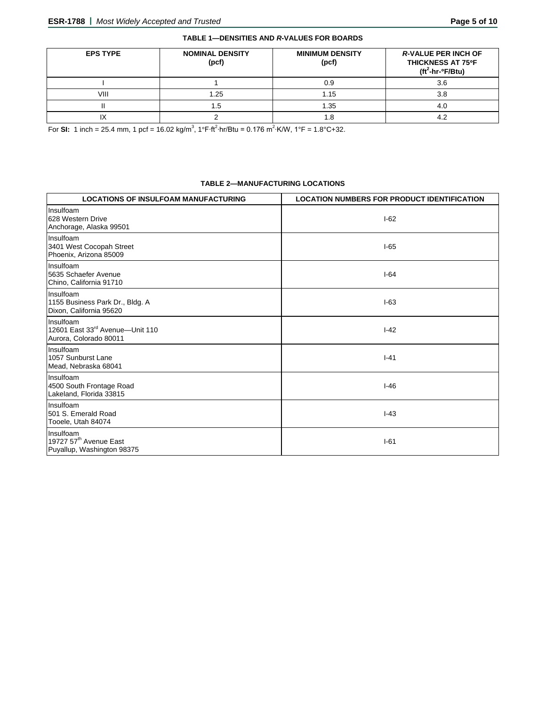| <b>EPS TYPE</b> | <b>NOMINAL DENSITY</b><br>(pcf) | <b>MINIMUM DENSITY</b><br>(pcf) | <b>R-VALUE PER INCH OF</b><br>THICKNESS AT 75°F<br>$(tf2-hroF/Btu)$ |
|-----------------|---------------------------------|---------------------------------|---------------------------------------------------------------------|
|                 |                                 | 0.9                             | 3.6                                                                 |
| VIII            | 1.25                            | 1.15                            | 3.8                                                                 |
|                 | 1.5                             | 1.35                            |                                                                     |
|                 |                                 |                                 |                                                                     |

For SI: 1 inch = 25.4 mm, 1 pcf = 16.02 kg/m<sup>3</sup>, 1°F·ft<sup>2</sup>·hr/Btu = 0.176 m<sup>2</sup>·K/W, 1°F = 1.8°C+32.

#### **TABLE 2—MANUFACTURING LOCATIONS**

| <b>LOCATIONS OF INSULFOAM MANUFACTURING</b>                                   | <b>LOCATION NUMBERS FOR PRODUCT IDENTIFICATION</b> |
|-------------------------------------------------------------------------------|----------------------------------------------------|
| Insulfoam<br>628 Western Drive<br>Anchorage, Alaska 99501                     | $I-62$                                             |
| Insulfoam<br>3401 West Cocopah Street<br>Phoenix, Arizona 85009               | $I-65$                                             |
| Insulfoam<br>5635 Schaefer Avenue<br>Chino, California 91710                  | $1-64$                                             |
| Insulfoam<br>1155 Business Park Dr., Bldg. A<br>Dixon, California 95620       | $I-63$                                             |
| Insulfoam<br>12601 East 33rd Avenue-Unit 110<br>Aurora, Colorado 80011        | $I-42$                                             |
| Insulfoam<br>1057 Sunburst Lane<br>Mead, Nebraska 68041                       | $I - 41$                                           |
| Insulfoam<br>4500 South Frontage Road<br>Lakeland, Florida 33815              | $I-46$                                             |
| Insulfoam<br>501 S. Emerald Road<br>Tooele, Utah 84074                        | $I-43$                                             |
| Insulfoam<br>19727 57 <sup>th</sup> Avenue East<br>Puyallup, Washington 98375 | $-61$                                              |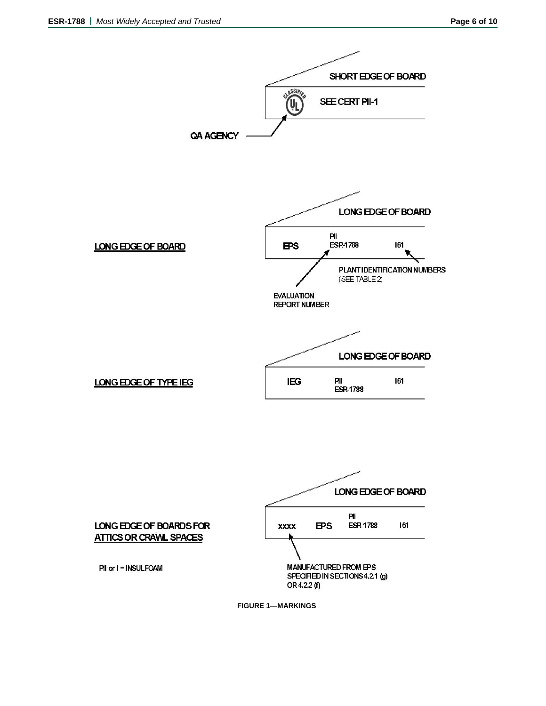

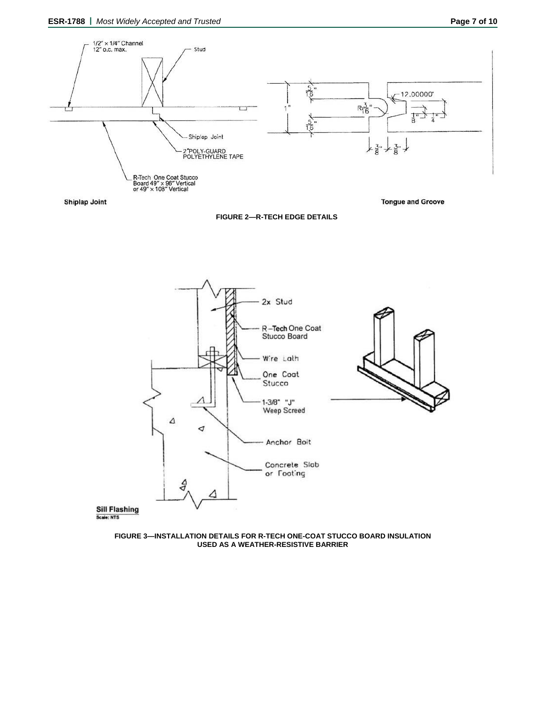

Shiplap Joint

**FIGURE 2—R-TECH EDGE DETAILS**



**FIGURE 3—INSTALLATION DETAILS FOR R-TECH ONE-COAT STUCCO BOARD INSULATION USED AS A WEATHER-RESISTIVE BARRIER**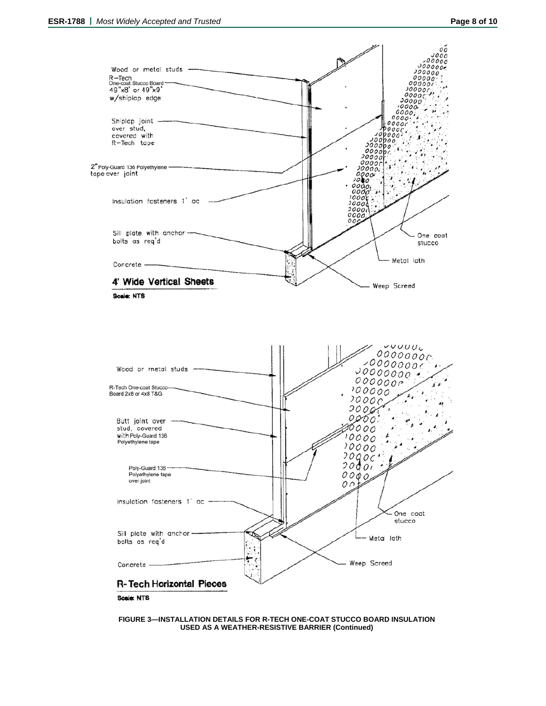

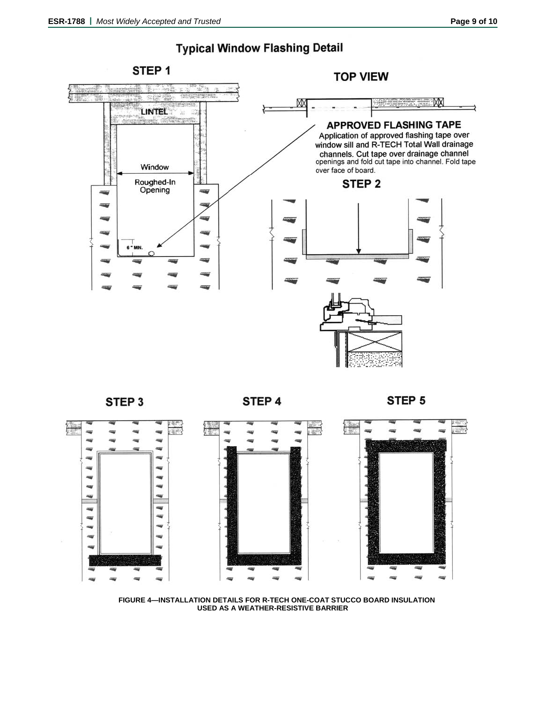## **Typical Window Flashing Detail**





STEP 4

STEP 5



**FIGURE 4—INSTALLATION DETAILS FOR R-TECH ONE-COAT STUCCO BOARD INSULATION USED AS A WEATHER-RESISTIVE BARRIER**